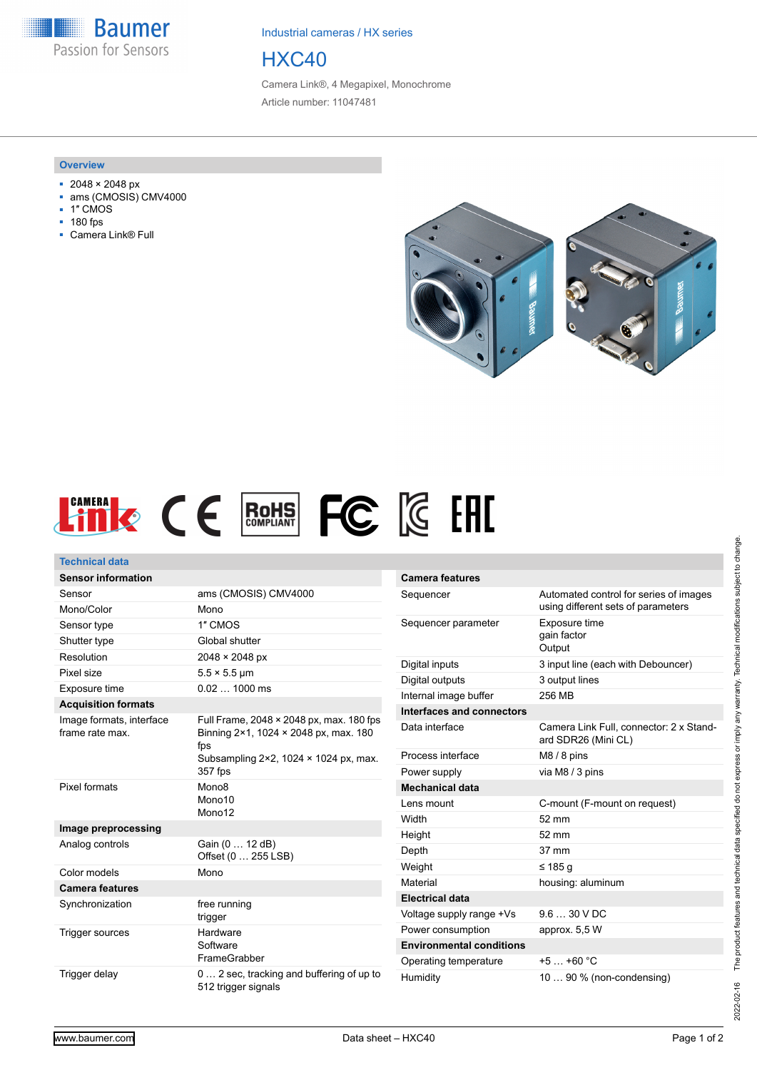**Baumer** Passion for Sensors

Industrial cameras / HX series

# HXC40

Camera Link®, 4 Megapixel, Monochrome Article number: 11047481

#### **Overview**

- 2048 × 2048 px
- ams (CMOSIS) CMV4000
- 1″ CMOS
- 180 fps
- Camera Link® Full





| <b>Technical data</b>                       |                                                                                          |                |
|---------------------------------------------|------------------------------------------------------------------------------------------|----------------|
| <b>Sensor information</b>                   |                                                                                          | Camera         |
| Sensor                                      | ams (CMOSIS) CMV4000                                                                     | Sequen         |
| Mono/Color                                  | Mono                                                                                     |                |
| Sensor type                                 | 1" CMOS                                                                                  | Sequen         |
| Shutter type                                | Global shutter                                                                           |                |
| Resolution                                  | 2048 × 2048 px                                                                           | Digital in     |
| Pixel size                                  | $5.5 \times 5.5$ µm                                                                      | Digital c      |
| Exposure time                               | $0.021000$ ms                                                                            | Internal       |
| <b>Acquisition formats</b>                  |                                                                                          | Interfac       |
| Image formats, interface<br>frame rate max. | Full Frame, 2048 × 2048 px, max. 180 fps<br>Binning 2×1, 1024 × 2048 px, max. 180<br>fps | Data int       |
|                                             | Subsampling $2 \times 2$ , 1024 $\times$ 1024 px, max.                                   | Process        |
|                                             | 357 fps                                                                                  | Power s        |
| Pixel formats                               | Mono <sub>8</sub>                                                                        | <b>Mechar</b>  |
|                                             | Mono10                                                                                   | Lens mo        |
|                                             | Mono12                                                                                   | Width          |
| Image preprocessing                         |                                                                                          | Height         |
| Analog controls                             | Gain (0  12 dB)<br>Offset (0  255 LSB)                                                   | Depth          |
| Color models                                | Mono                                                                                     | Weight         |
| <b>Camera features</b>                      |                                                                                          | Material       |
| Synchronization                             | free running                                                                             | Electric       |
|                                             | trigger                                                                                  | Voltage        |
| Trigger sources                             | Hardware                                                                                 | Power c        |
|                                             | Software                                                                                 | <b>Enviror</b> |
|                                             | FrameGrabber                                                                             | Operati        |
| Trigger delay                               | 0 2 sec, tracking and buffering of up to<br>512 trigger signals                          | Humidit        |

| <b>Camera features</b>          |                                                                              |
|---------------------------------|------------------------------------------------------------------------------|
| Sequencer                       | Automated control for series of images<br>using different sets of parameters |
| Sequencer parameter             | Exposure time<br>gain factor<br>Output                                       |
| Digital inputs                  | 3 input line (each with Debouncer)                                           |
| Digital outputs                 | 3 output lines                                                               |
| Internal image buffer           | 256 MB                                                                       |
| Interfaces and connectors       |                                                                              |
| Data interface                  | Camera Link Full. connector: 2 x Stand-<br>ard SDR26 (Mini CL)               |
| Process interface               | $M8/8$ pins                                                                  |
| Power supply                    | via M8 / 3 pins                                                              |
| <b>Mechanical data</b>          |                                                                              |
| Lens mount                      | C-mount (F-mount on request)                                                 |
| Width                           | $52 \text{ mm}$                                                              |
| Height                          | $52 \text{ mm}$                                                              |
| Depth                           | $37 \text{ mm}$                                                              |
| Weight                          | ≤ 185 q                                                                      |
| Material                        | housing: aluminum                                                            |
| <b>Electrical data</b>          |                                                                              |
| Voltage supply range +Vs        | $9.630$ VDC                                                                  |
| Power consumption               | approx. 5,5 W                                                                |
| <b>Environmental conditions</b> |                                                                              |
| Operating temperature           | $+5$ $+60$ °C                                                                |
| Humidity                        | 10  90 % (non-condensing)                                                    |